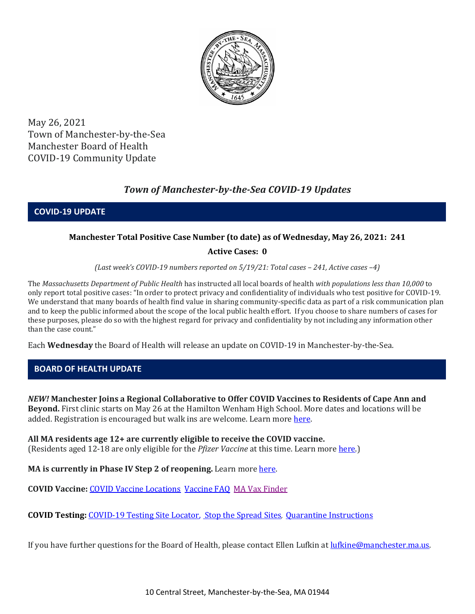

May 26, 2021 Town of Manchester-by-the-Sea Manchester Board of Health COVID-19 Community Update

# *Town of Manchester-by-the-Sea COVID-19 Updates*

**COVID-19 UPDATE**

### **Manchester Total Positive Case Number (to date) as of Wednesday, May 26, 2021: 241**

### **Active Cases: 0**

*(Last week's COVID-19 numbers reported on 5/19/21: Total cases – 241, Active cases –4)*

The *Massachusetts Department of Public Health* has instructed all local boards of health *with populations less than 10,000* to only report total positive cases: "In order to protect privacy and confidentiality of individuals who test positive for COVID-19. We understand that many boards of health find value in sharing community-specific data as part of a risk communication plan and to keep the public informed about the scope of the local public health effort. If you choose to share numbers of cases for these purposes, please do so with the highest regard for privacy and confidentiality by not including any information other than the case count."

Each **Wednesday** the Board of Health will release an update on COVID-19 in Manchester-by-the-Sea.

# **BOARD OF HEALTH UPDATE**

*NEW!* **Manchester Joins a Regional Collaborative to Offer COVID Vaccines to Residents of Cape Ann and Beyond.** First clinic starts on May 26 at the Hamilton Wenham High School. More dates and locations will be added. Registration is encouraged but walk ins are welcome. Learn more [here.](http://manchester.ma.us/DocumentCenter/View/3927/COVID-Clinic-Regional-Collaboration)

# **All MA residents age 12+ are currently eligible to receive the COVID vaccine.**

(Residents aged 12-18 are only eligible for the *Pfizer Vaccine* at this time. Learn mor[e here.](https://www.mass.gov/info-details/covid-19-vaccinations-for-people-under-age-18))

**MA is currently in Phase IV Step 2 of reopening.** Learn more here.

**COVID Vaccine:** [COVID Vaccine Locations](https://www.mass.gov/info-details/preregister-for-a-covid-19-vaccine-appointment) [Vaccine FAQ](https://www.mass.gov/info-details/preregister-for-a-covid-19-vaccine-appointment) [MA Vax Finder](https://www.mass.gov/info-details/preregister-for-a-covid-19-vaccine-appointment)

**COVID Testing:** [COVID-19 Testing Site Locator,](https://memamaps.maps.arcgis.com/apps/webappviewer/index.html?id=eba3f0395451430b9f631cb095febf13) [Stop the Spread Sites](https://www.mass.gov/info-details/stop-the-spread)*,* [Quarantine Instructions](http://manchester.ma.us/DocumentCenter/View/3558/14-10-7-day-COVID19_Quarantine-information-1272020)

If you have further questions for the Board of Health, please contact Ellen Lufkin at [lufkine@manchester.ma.us.](mailto:lufkine@manchester.ma.us)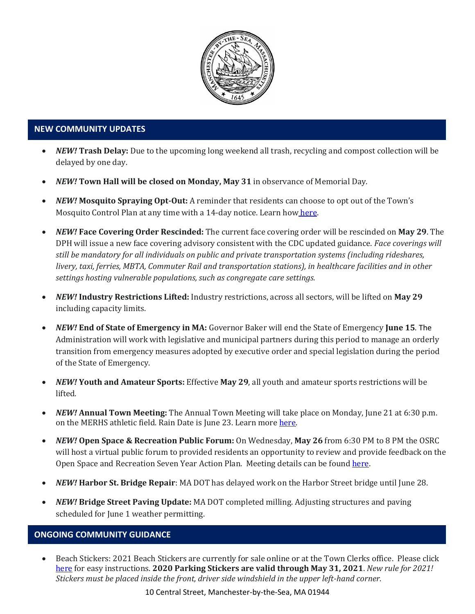

### **NEW COMMUNITY UPDATES**

- *NEW!* **Trash Delay:** Due to the upcoming long weekend all trash, recycling and compost collection will be delayed by one day.
- *NEW!* **Town Hall will be closed on Monday, May 31** in observance of Memorial Day.
- *NEW!* **Mosquito Spraying Opt-Out:** A reminder that residents can choose to opt out of the Town's Mosquito Control Plan at any time with a 14-day notice. Learn how [here.](https://www.nemassmosquito.org/pesticides/exclusions)
- *NEW!* **Face Covering Order Rescinded:** The current face covering order will be rescinded on **May 29**. The DPH will issue a new face covering advisory consistent with the CDC updated guidance. *Face coverings will still be mandatory for all individuals on public and private transportation systems (including rideshares, livery, taxi, ferries, MBTA, Commuter Rail and transportation stations), in healthcare facilities and in other settings hosting vulnerable populations, such as congregate care settings.*
- *NEW!* **Industry Restrictions Lifted:** Industry restrictions, across all sectors, will be lifted on **May 29** including capacity limits.
- *NEW!* **End of State of Emergency in MA:** Governor Baker will end the State of Emergency **June 15**. The Administration will work with legislative and municipal partners during this period to manage an orderly transition from emergency measures adopted by executive order and special legislation during the period of the State of Emergency.
- *NEW!* **Youth and Amateur Sports:** Effective **May 29**, all youth and amateur sports restrictions will be lifted.
- *NEW!* **Annual Town Meeting:** The Annual Town Meeting will take place on Monday, June 21 at 6:30 p.m. on the MERHS athletic field. Rain Date is June 23. Learn more [here.](http://manchester.ma.us/503/Town-Meetings-and-Elections)
- *NEW!* **Open Space & Recreation Public Forum:** On Wednesday, **May 26** from 6:30 PM to 8 PM the OSRC will host a virtual public forum to provided residents an opportunity to review and provide feedback on the Open Space and Recreation Seven Year Action Plan. Meeting details can be found [here.](http://manchester.ma.us/356/Open-Space-Recreation-Committee)
- *NEW!* **Harbor St. Bridge Repair**: MA DOT has delayed work on the Harbor Street bridge until June 28.
- *NEW!* **Bridge Street Paving Update:** MA DOT completed milling. Adjusting structures and paving scheduled for June 1 weather permitting.

### **ONGOING COMMUNITY GUIDANCE**

• Beach Stickers: 2021 Beach Stickers are currently for sale online or at the Town Clerks office. Please click [here](http://manchester.ma.us/252/Beach-Resident-Parking-Stickers) for easy instructions. **2020 Parking Stickers are valid through May 31, 2021**. *New rule for 2021! Stickers must be placed inside the front, driver side windshield in the upper left-hand corner.* 

10 Central Street, Manchester-by-the-Sea, MA 01944